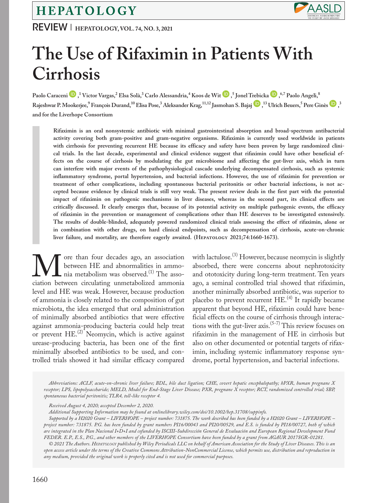## HEPATOLOGY

REVIEW **<sup>|</sup> Hepatology, VOL. 74, NO. 3, 2021**



# **The Use of Rifaximin in Patients With Cirrhosis**

Paolo Caraceni ��[,](https://orcid.org/0000-0002-7028-3881) <sup>1</sup> Victor Vargas, <sup>2</sup> Elsa Solà, <sup>3</sup> Carlo Alessandria, <sup>4</sup> Koos de Wit ��, 5 Jonel [Trebic](https://orcid.org/0000-0003-4928-3681)ka ��, <sup>6,7</sup> Paolo Angeli, <sup>8</sup>  $R$ aje[s](https://orcid.org/0000-0003-4657-4504)hwar P. Mookerjee, $^9$  François Durand, $^{10}$  Elisa Pose, $^3$  Aleksander Krag, $^{11,12}$  Jasmohan S. Bajaj  $\bigoplus$ , $^{13}$  Ulrich Beuers, $^5$  Pere Ginès  $\bigoplus$ , $^3$ **and for the Liverhope Consortium**

**Rifaximin is an oral nonsystemic antibiotic with minimal gastrointestinal absorption and broad-spectrum antibacterial activity covering both gram-positive and gram-negative organisms. Rifaximin is currently used worldwide in patients with cirrhosis for preventing recurrent HE because its efficacy and safety have been proven by large randomized clinical trials. In the last decade, experimental and clinical evidence suggest that rifaximin could have other beneficial effects on the course of cirrhosis by modulating the gut microbiome and affecting the gut-liver axis, which in turn can interfere with major events of the pathophysiological cascade underlying decompensated cirrhosis, such as systemic inflammatory syndrome, portal hypertension, and bacterial infections. However, the use of rifaximin for prevention or treatment of other complications, including spontaneous bacterial peritonitis or other bacterial infections, is not accepted because evidence by clinical trials is still very weak. The present review deals in the first part with the potential impact of rifaximin on pathogenic mechanisms in liver diseases, whereas in the second part, its clinical effects are critically discussed. It clearly emerges that, because of its potential activity on multiple pathogenic events, the efficacy of rifaximin in the prevention or management of complications other than HE deserves to be investigated extensively. The results of double-blinded, adequately powered randomized clinical trials assessing the effect of rifaximin, alone or in combination with other drugs, on hard clinical endpoints, such as decompensation of cirrhosis, acute-on-chronic**  liver failure, and mortality, are therefore eagerly awaited. (HEPATOLOGY 2021;74:1660-1673).

**M** ore than four decades ago, an association between HE and abnormalities in ammo-<br>ciation between circulating unmetabolized ammonia between HE and abnormalities in ammonia metabolism was observed.<sup>(1)</sup> The assolevel and HE was weak. However, because production of ammonia is closely related to the composition of gut microbiota, the idea emerged that oral administration of minimally absorbed antibiotics that were effective against ammonia-producing bacteria could help treat or prevent  $\text{HE.}^{(2)}$  Neomycin, which is active against urease-producing bacteria, has been one of the first minimally absorbed antibiotics to be used, and controlled trials showed it had similar efficacy compared

with lactulose.<sup>(3)</sup> However, because neomycin is slightly absorbed, there were concerns about nephrotoxicity and ototoxicity during long-term treatment. Ten years ago, a seminal controlled trial showed that rifaximin, another minimally absorbed antibiotic, was superior to placebo to prevent recurrent HE.<sup>(4)</sup> It rapidly became apparent that beyond HE, rifaximin could have beneficial effects on the course of cirrhosis through interactions with the gut-liver axis.<sup>(5-7)</sup> This review focuses on rifaximin in the management of HE in cirrhosis but also on other documented or potential targets of rifaximin, including systemic inflammatory response syndrome, portal hypertension, and bacterial infections.

*Abbreviations: ACLF, acute-on-chronic liver failure; BDL, bile duct ligation; CHE, covert hepatic encephalopathy; hPXR, human pregnane X receptor; LPS, lipopolysaccharide; MELD, Model for End-Stage Liver Disease; PXR, pregnane X receptor; RCT, randomized controlled trial; SBP, spontaneous bacterial peritonitis; TLR4, toll-like receptor 4.*

*Additional Supporting Information may be found at [onlinelibrary.wiley.com/doi/10.1002/hep.31708/suppinfo.](http://onlinelibrary.wiley.com/doi/10.1002/hep.31708/suppinfo)*

*Supported by a H2020 Grant – LIVERHOPE – project number: 731875. The work described has been funded by a H2020 Grant – LIVERHOPE – project number: 731875. P.G. has been funded by grant numbers PI16/00043 and PI20/00529, and E.S. is funded by PI18/00727, both of which are integrated in the Plan Nacional I+D+I and cofunded by ISCIII-Subdirección General de Evaluación and European Regional Development Fund FEDER. E.P., E.S., P.G., and other members of the LIVERHOPE Consortium have been funded by a grant from AGAUR 2017SGR-01281.*

*© 2021 The Authors. Hepatology published by Wiley Periodicals LLC on behalf of American Association for the Study of Liver Diseases. This is an open access article under the terms of the [Creative Commons Attribution-NonCommercial](http://creativecommons.org/licenses/by-nc/4.0/) License, which permits use, distribution and reproduction in any medium, provided the original work is properly cited and is not used for commercial purposes.*

*Received August 4, 2020; accepted December 2, 2020.*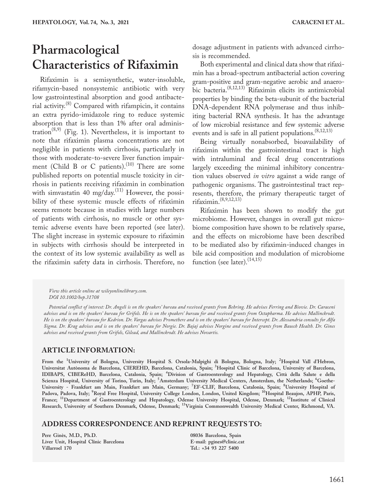## **Pharmacological Characteristics of Rifaximin**

Rifaximin is a semisynthetic, water-insoluble, rifamycin-based nonsystemic antibiotic with very low gastrointestinal absorption and good antibacterial activity.(8) Compared with rifampicin, it contains an extra pyrido-imidazole ring to reduce systemic absorption that is less than 1% after oral administration<sup> $(8,9)$ </sup> (Fig. 1). Nevertheless, it is important to note that rifaximin plasma concentrations are not negligible in patients with cirrhosis, particularly in those with moderate-to-severe liver function impairment (Child B or C patients).<sup>(10)</sup> There are some published reports on potential muscle toxicity in cirrhosis in patients receiving rifaximin in combination with simvastatin 40 mg/day.<sup>(11)</sup> However, the possibility of these systemic muscle effects of rifaximin seems remote because in studies with large numbers of patients with cirrhosis, no muscle or other systemic adverse events have been reported (see later). The slight increase in systemic exposure to rifaximin in subjects with cirrhosis should be interpreted in the context of its low systemic availability as well as the rifaximin safety data in cirrhosis. Therefore, no

dosage adjustment in patients with advanced cirrhosis is recommended.

Both experimental and clinical data show that rifaximin has a broad-spectrum antibacterial action covering gram-positive and gram-negative aerobic and anaerobic bacteria.(8,12,13) Rifaximin elicits its antimicrobial properties by binding the beta-subunit of the bacterial DNA-dependent RNA polymerase and thus inhibiting bacterial RNA synthesis. It has the advantage of low microbial resistance and few systemic adverse events and is safe in all patient populations.  $(8,12,13)$ 

Being virtually nonabsorbed, bioavailability of rifaximin within the gastrointestinal tract is high with intraluminal and fecal drug concentrations largely exceeding the minimal inhibitory concentration values observed *in vitro* against a wide range of pathogenic organisms. The gastrointestinal tract represents, therefore, the primary therapeutic target of rifaximin.(8,9,12,13)

Rifaximin has been shown to modify the gut microbiome. However, changes in overall gut microbiome composition have shown to be relatively sparse, and the effects on microbiome have been described to be mediated also by rifaximin-induced changes in bile acid composition and modulation of microbiome function (see later). $(14,15)$ 

*View this article online at wileyonlinelibrary.com. DOI 10.1002/hep.31708*

*Potential conflict of interest: Dr. Angeli is on the speakers' bureau and received grants from Behring. He advises Ferring and Biovie. Dr. Caraceni advises and is on the speakers' bureau for Grifols. He is on the speakers' bureau for and received grants from Octapharma. He advises Mallinckrodt. He is on the speakers' bureau for Kedrion. Dr. Vargas advises Promethere and is on the speakers' bureau for Intercept. Dr. Alessandria consults for Alfa Sigma. Dr. Krag advises and is on the speakers' bureau for Norgie. Dr. Bajaj advises Norgine and received grants from Bausch Health. Dr. Gines advises and received grants from Grifols, Gilead, and Mallinckrodt. He advises Novartis.*

#### **ARTICLE INFORMATION:**

**From the <sup>1</sup> University of Bologna, University Hospital S. Orsola-Malpighi di Bologna, Bologna, Italy; <sup>2</sup> Hospital Vall d'Hebron, Universitat Autònoma de Barcelona, CIEREHD, Barcelona, Catalonia, Spain; <sup>3</sup> Hospital Clinic of Barcelona, University of Barcelona, IDIBAPS, CIBEReHD, Barcelona, Catalonia, Spain; <sup>4</sup> Division of Gastroenterology and Hepatology, Città della Salute e della Scienza Hospital, University of Torino, Turin, Italy; <sup>5</sup> Amsterdam University Medical Centers, Amsterdam, the Netherlands; <sup>6</sup> Goethe-University - Frankfurt am Main, Frankfurt am Main, Germany; <sup>7</sup> EF-CLIF, Barcelona, Catalonia, Spain; <sup>8</sup> University Hospital of Padova, Padova, Italy; <sup>9</sup> Royal Free Hospital, University College London, London, United Kingdom; 10Hospital Beaujon, APHP, Paris, France; 11Department of Gastroenterology and Hepatology, Odense University Hospital, Odense, Denmark; 12Institute of Clinical Research, University of Southern Denmark, Odense, Denmark; 13Virginia Commonwealth University Medical Center, Richmond, VA.**

#### **ADDRESS CORRESPONDENCE AND REPRINT REQUESTS TO:**

**Pere Ginès, M.D., Ph.D. Liver Unit, Hospital Clínic Barcelona Villarroel 170** 

**08036 Barcelona, Spain E-mail: [pgines@clinic.cat](mailto:pgines@clinic.cat) Tel.: +34 93 227 5400**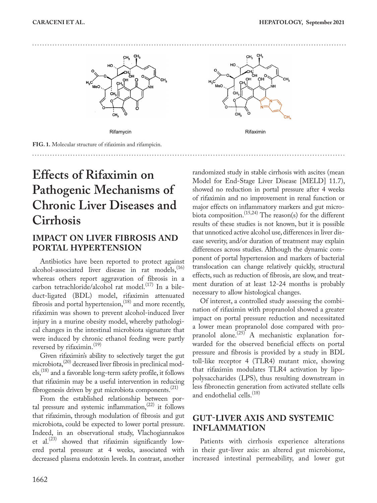



**FIG. 1.** Molecular structure of rifaximin and rifampicin.

**Effects of Rifaximin on Pathogenic Mechanisms of Chronic Liver Diseases and Cirrhosis**

### **IMPACT ON LIVER FIBROSIS AND PORTAL HYPERTENSION**

Antibiotics have been reported to protect against alcohol-associated liver disease in rat models,<sup>(16)</sup> whereas others report aggravation of fibrosis in a carbon tetrachloride/alcohol rat model.<sup>(17)</sup> In a bileduct-ligated (BDL) model, rifaximin attenuated fibrosis and portal hypertension,<sup>(18)</sup> and more recently, rifaximin was shown to prevent alcohol-induced liver injury in a murine obesity model, whereby pathological changes in the intestinal microbiota signature that were induced by chronic ethanol feeding were partly reversed by rifaximin.<sup>(19)</sup>

Given rifaximin's ability to selectively target the gut microbiota,<sup>(20)</sup> decreased liver fibrosis in preclinical models,<sup>(18)</sup> and a favorable long-term safety profile, it follows that rifaximin may be a useful intervention in reducing fibrogenesis driven by gut microbiota components.<sup>(21)</sup>

From the established relationship between portal pressure and systemic inflammation, $(22)$  it follows that rifaximin, through modulation of fibrosis and gut microbiota, could be expected to lower portal pressure. Indeed, in an observational study, Vlachogiannakos et al. $^{(23)}$  showed that rifaximin significantly lowered portal pressure at 4 weeks, associated with decreased plasma endotoxin levels. In contrast, another

randomized study in stable cirrhosis with ascites (mean Model for End-Stage Liver Disease [MELD] 11.7), showed no reduction in portal pressure after 4 weeks of rifaximin and no improvement in renal function or major effects on inflammatory markers and gut microbiota composition.<sup>(15,24)</sup> The reason(s) for the different results of these studies is not known, but it is possible that unnoticed active alcohol use, differences in liver disease severity, and/or duration of treatment may explain differences across studies. Although the dynamic component of portal hypertension and markers of bacterial translocation can change relatively quickly, structural effects, such as reduction of fibrosis, are slow, and treatment duration of at least 12-24 months is probably necessary to allow histological changes.

Of interest, a controlled study assessing the combination of rifaximin with propranolol showed a greater impact on portal pressure reduction and necessitated a lower mean propranolol dose compared with propranolol alone.<sup>(25)</sup> A mechanistic explanation forwarded for the observed beneficial effects on portal pressure and fibrosis is provided by a study in BDL toll-like receptor 4 (TLR4) mutant mice, showing that rifaximin modulates TLR4 activation by lipopolysaccharides (LPS), thus resulting downstream in less fibronectin generation from activated stellate cells and endothelial cells.<sup>(18)</sup>

### **GUT-LIVER AXIS AND SYSTEMIC INFLAMMATION**

Patients with cirrhosis experience alterations in their gut-liver axis: an altered gut microbiome, increased intestinal permeability, and lower gut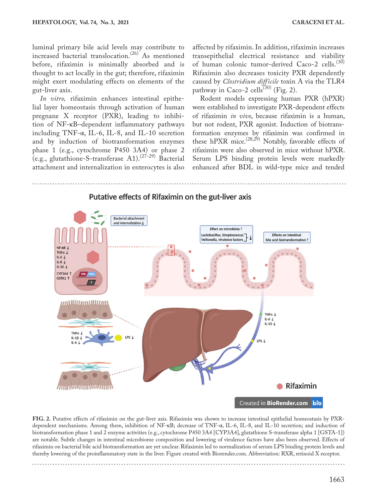luminal primary bile acid levels may contribute to increased bacterial translocation.<sup>(26)</sup> As mentioned before, rifaximin is minimally absorbed and is thought to act locally in the gut; therefore, rifaximin might exert modulating effects on elements of the gut-liver axis.

*In vitro,* rifaximin enhances intestinal epithelial layer homeostasis through activation of human pregnane X receptor (PXR), leading to inhibition of NF-κB–dependent inflammatory pathways including TNF-α, IL-6, IL-8, and IL-10 secretion and by induction of biotransformation enzymes phase 1 (e.g., cytochrome P450 3A4) or phase 2 (e.g., glutathione-S-transferase  $A1$ ).<sup>(27-29)</sup> Bacterial attachment and internalization in enterocytes is also

affected by rifaximin. In addition, rifaximin increases transepithelial electrical resistance and viability of human colonic tumor-derived Caco-2 cells.<sup>(30)</sup> Rifaximin also decreases toxicity PXR dependently caused by *Clostridium difficile* toxin A via the TLR4 pathway in Caco-2 cells<sup> $(30)$ </sup> (Fig. 2).

Rodent models expressing human PXR (hPXR) were established to investigate PXR-dependent effects of rifaximin *in vivo*, because rifaximin is a human, but not rodent, PXR agonist. Induction of biotransformation enzymes by rifaximin was confirmed in these hPXR mice.<sup>(28,29)</sup> Notably, favorable effects of rifaximin were also observed in mice without hPXR. Serum LPS binding protein levels were markedly enhanced after BDL in wild-type mice and tended



**FIG. 2.** Putative effects of rifaximin on the gut-liver axis. Rifaximin was shown to increase intestinal epithelial homeostasis by PXRdependent mechanisms. Among them, inhibition of NF-κB; decrease of TNF-α, IL-6, IL-8, and IL-10 secretion; and induction of biotransformation phase 1 and 2 enzyme activities (e.g., cytochrome P450 3A4 [CYP3A4], glutathione S-transferase alpha 1 [GSTA-1]) are notable. Subtle changes in intestinal microbiome composition and lowering of virulence factors have also been observed. Effects of rifaximin on bacterial bile acid biotransformation are yet unclear. Rifaximin led to normalization of serum LPS binding protein levels and thereby lowering of the proinflammatory state in the liver. Figure created with Biorender.com. Abbreviation: RXR, retinoid X receptor.

1663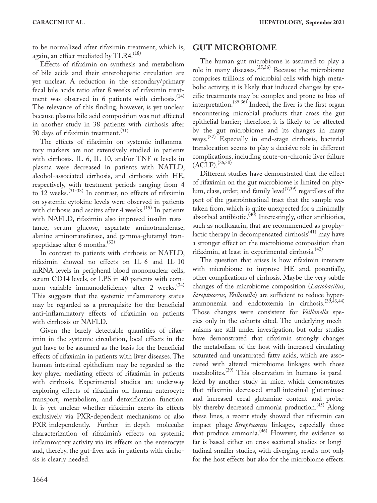to be normalized after rifaximin treatment, which is, again, an effect mediated by TLR4.<sup>(18)</sup>

Effects of rifaximin on synthesis and metabolism of bile acids and their enterohepatic circulation are yet unclear. A reduction in the secondary/primary fecal bile acids ratio after 8 weeks of rifaximin treatment was observed in 6 patients with cirrhosis. $(14)$ The relevance of this finding, however, is yet unclear because plasma bile acid composition was not affected in another study in 38 patients with cirrhosis after 90 days of rifaximin treatment.<sup>(31)</sup>

The effects of rifaximin on systemic inflammatory markers are not extensively studied in patients with cirrhosis. IL-6, IL-10, and/or  $TNF-\alpha$  levels in plasma were decreased in patients with NAFLD, alcohol-associated cirrhosis, and cirrhosis with HE, respectively, with treatment periods ranging from 4 to 12 weeks.  $(31-33)$  In contrast, no effects of rifaximin on systemic cytokine levels were observed in patients with cirrhosis and ascites after 4 weeks.<sup>(15)</sup> In patients with NAFLD, rifaximin also improved insulin resistance, serum glucose, aspartate aminotransferase, alanine aminotransferase, and gamma-glutamyl transpeptidase after 6 months. $(32)$ 

In contrast to patients with cirrhosis or NAFLD, rifaximin showed no effects on IL-6 and IL-10 mRNA levels in peripheral blood mononuclear cells, serum CD14 levels, or LPS in 40 patients with common variable immunodeficiency after 2 weeks. $(34)$ This suggests that the systemic inflammatory status may be regarded as a prerequisite for the beneficial anti-inflammatory effects of rifaximin on patients with cirrhosis or NAFLD.

Given the barely detectable quantities of rifaximin in the systemic circulation, local effects in the gut have to be assumed as the basis for the beneficial effects of rifaximin in patients with liver diseases. The human intestinal epithelium may be regarded as the key player mediating effects of rifaximin in patients with cirrhosis. Experimental studies are underway exploring effects of rifaximin on human enterocyte transport, metabolism, and detoxification function. It is yet unclear whether rifaximin exerts its effects exclusively via PXR-dependent mechanisms or also PXR-independently. Further in-depth molecular characterization of rifaximin's effects on systemic inflammatory activity via its effects on the enterocyte and, thereby, the gut-liver axis in patients with cirrhosis is clearly needed.

#### **GUT MICROBIOME**

The human gut microbiome is assumed to play a role in many diseases.(35,36) Because the microbiome comprises trillions of microbial cells with high metabolic activity, it is likely that induced changes by specific treatments may be complex and prone to bias of interpretation.(35,36) Indeed, the liver is the first organ encountering microbial products that cross the gut epithelial barrier; therefore, it is likely to be affected by the gut microbiome and its changes in many ways.(37) Especially in end-stage cirrhosis, bacterial translocation seems to play a decisive role in different complications, including acute-on-chronic liver failure  $(ACLF).^{(26,38)}$ 

Different studies have demonstrated that the effect of rifaximin on the gut microbiome is limited on phy $lum, class, order, and family  $level^{((7,39)}$$  regardless of the$ part of the gastrointestinal tract that the sample was taken from, which is quite unexpected for a minimally absorbed antibiotic.<sup>(40)</sup> Interestingly, other antibiotics, such as norfloxacin, that are recommended as prophylactic therapy in decompensated cirrhosis<sup>(41)</sup> may have a stronger effect on the microbiome composition than rifaximin, at least in experimental cirrhosis.<sup>(42)</sup>

The question that arises is how rifaximin interacts with microbiome to improve HE and, potentially, other complications of cirrhosis. Maybe the very subtle changes of the microbiome composition (*Lactobacillus*, *Streptococcus*, *Veillonella*) are sufficient to reduce hyperammonemia and endotoxemia in cirrhosis.<sup>(39,43,44)</sup> Those changes were consistent for *Veillonella* species only in the cohorts cited. The underlying mechanisms are still under investigation, but older studies have demonstrated that rifaximin strongly changes the metabolism of the host with increased circulating saturated and unsaturated fatty acids, which are associated with altered microbiome linkages with those metabolites.(39) This observation in humans is paralleled by another study in mice, which demonstrates that rifaximin decreased small-intestinal glutaminase and increased cecal glutamine content and probably thereby decreased ammonia production.<sup>(45)</sup> Along these lines, a recent study showed that rifaximin can impact phage-*Streptococcus* linkages, especially those that produce ammonia.<sup>(46)</sup> However, the evidence so far is based either on cross-sectional studies or longitudinal smaller studies, with diverging results not only for the host effects but also for the microbiome effects.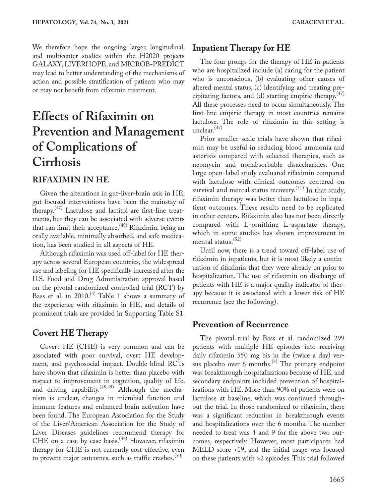We therefore hope the ongoing larger, longitudinal, and multicenter studies within the H2020 projects GALAXY, LIVERHOPE, and MICROB-PREDICT may lead to better understanding of the mechanisms of action and possible stratification of patients who may or may not benefit from rifaximin treatment.

## **Effects of Rifaximin on Prevention and Management of Complications of Cirrhosis**

#### **RIFAXIMIN IN HE**

Given the alterations in gut-liver-brain axis in HE, gut-focused interventions have been the mainstay of therapy.(47) Lactulose and lactitol are first-line treatments, but they can be associated with adverse events that can limit their acceptance.<sup>(48)</sup> Rifaximin, being an orally available, minimally absorbed, and safe medication, has been studied in all aspects of HE.

Although rifaximin was used off-label for HE therapy across several European countries, the widespread use and labeling for HE specifically increased after the U.S. Food and Drug Administration approval based on the pivotal randomized controlled trial (RCT) by Bass et al. in 2010.<sup>(4)</sup> Table 1 shows a summary of the experience with rifaximin in HE, and details of prominent trials are provided in Supporting Table S1.

#### **Covert HE Therapy**

Covert HE (CHE) is very common and can be associated with poor survival, overt HE development, and psychosocial impact. Double-blind RCTs have shown that rifaximin is better than placebo with respect to improvement in cognition, quality of life, and driving capability.<sup>(48,49)</sup> Although the mechanism is unclear, changes in microbial function and immune features and enhanced brain activation have been found. The European Association for the Study of the Liver/American Association for the Study of Liver Diseases guidelines recommend therapy for CHE on a case-by-case basis.<sup>(44)</sup> However, rifaximin therapy for CHE is not currently cost-effective, even to prevent major outcomes, such as traffic crashes.<sup>(50)</sup>

#### **Inpatient Therapy for HE**

The four prongs for the therapy of HE in patients who are hospitalized include (a) caring for the patient who is unconscious, (b) evaluating other causes of altered mental status, (c) identifying and treating precipitating factors, and (d) starting empiric therapy. $(47)$ All these processes need to occur simultaneously. The first-line empiric therapy in most countries remains lactulose. The role of rifaximin in this setting is unclear. $(47)$ 

Prior smaller-scale trials have shown that rifaximin may be useful in reducing blood ammonia and asterixis compared with selected therapies, such as neomycin and nonabsorbable disaccharides. One large open-label study evaluated rifaximin compared with lactulose with clinical outcomes centered on survival and mental status recovery.<sup>(51)</sup> In that study, rifaximin therapy was better than lactulose in inpatient outcomes. These results need to be replicated in other centers. Rifaximin also has not been directly compared with L-ornithine L-aspartate therapy, which in some studies has shown improvement in mental status. $(52)$ 

Until now, there is a trend toward off-label use of rifaximin in inpatients, but it is most likely a continuation of rifaximin that they were already on prior to hospitalization. The use of rifaximin on discharge of patients with HE is a major quality indicator of therapy because it is associated with a lower risk of HE recurrence (see the following).

#### **Prevention of Recurrence**

The pivotal trial by Bass et al. randomized 299 patients with multiple HE episodes into receiving daily rifaximin 550 mg bis in die (twice a day) versus placebo over 6 months.<sup>(4)</sup> The primary endpoint was breakthrough hospitalizations because of HE, and secondary endpoints included prevention of hospitalizations with HE. More than 90% of patients were on lactulose at baseline, which was continued throughout the trial. In those randomized to rifaximin, there was a significant reduction in breakthrough events and hospitalizations over the 6 months. The number needed to treat was 4 and 9 for the above two outcomes, respectively. However, most participants had MELD score <19, and the initial usage was focused on these patients with >2 episodes. This trial followed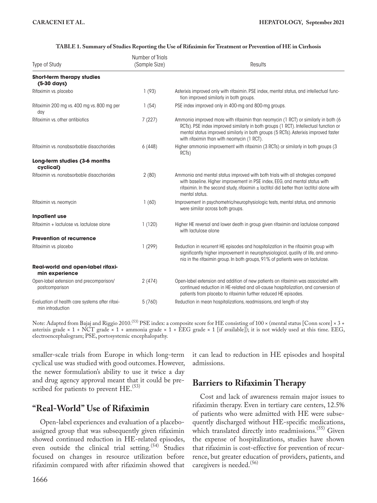| Type of Study                                                       | Number of Trials<br>(Sample Size) | <b>Results</b>                                                                                                                                                                                                                                                                                                  |
|---------------------------------------------------------------------|-----------------------------------|-----------------------------------------------------------------------------------------------------------------------------------------------------------------------------------------------------------------------------------------------------------------------------------------------------------------|
| <b>Short-term therapy studies</b><br>$(5-30 \text{ days})$          |                                   |                                                                                                                                                                                                                                                                                                                 |
| Rifaximin vs. placebo                                               | 1(93)                             | Asterixis improved only with rifaximin. PSE index, mental status, and intellectual func-<br>tion improved similarly in both groups.                                                                                                                                                                             |
| Rifaximin 200 mg vs. 400 mg vs. 800 mg per<br>day                   | 1(54)                             | PSE index improved only in 400-mg and 800-mg groups.                                                                                                                                                                                                                                                            |
| Rifaximin vs. other antibiotics                                     | 7(227)                            | Ammonia improved more with rifaximin than neomycin (1 RCT) or similarly in both (6<br>RCTs). PSE index improved similarly in both groups (1 RCT). Intellectual function or<br>mental status improved similarly in both groups (5 RCTs). Asterixis improved faster<br>with rifaximin than with neomycin (1 RCT). |
| Rifaximin vs. nonabsorbable disaccharides                           | 6(448)                            | Higher ammonia improvement with rifaximin (3 RCTs) or similarly in both groups (3<br>RCT <sub>s</sub> )                                                                                                                                                                                                         |
| Long-term studies (3-6 months<br>cyclical)                          |                                   |                                                                                                                                                                                                                                                                                                                 |
| Rifaximin vs. nonabsorbable disaccharides                           | 2(80)                             | Ammonia and mental status improved with both trials with all strategies compared<br>with baseline. Higher improvement in PSE index, EEG, and mental status with<br>rifaximin. In the second study, rifaximin $\pm$ lactitol did better than lactitol alone with<br>mental status.                               |
| Rifaximin vs. neomycin                                              | 1(60)                             | Improvement in psychometric/neurophysiologic tests, mental status, and ammonia<br>were similar across both groups.                                                                                                                                                                                              |
| <b>Inpatient use</b>                                                |                                   |                                                                                                                                                                                                                                                                                                                 |
| Rifaximin + lactulose vs. lactulose alone                           | 1(120)                            | Higher HE reversal and lower death in group given rifaximin and lactulose compared<br>with lactulose alone                                                                                                                                                                                                      |
| <b>Prevention of recurrence</b>                                     |                                   |                                                                                                                                                                                                                                                                                                                 |
| Rifaximin vs. placebo                                               | 1(299)                            | Reduction in recurrent HE episodes and hospitalization in the rifaximin group with<br>significantly higher improvement in neurophysiological, quality of life, and ammo-<br>nia in the rifaximin group. In both groups, 91% of patients were on lactulose.                                                      |
| Real-world and open-label rifaxi-<br>min experience                 |                                   |                                                                                                                                                                                                                                                                                                                 |
| Open-label extension and precomparison/<br>postcomparison           | 2(474)                            | Open-label extension and addition of new patients on rifaximin was associated with<br>continued reduction in HE-related and all-cause hospitalization, and conversion of<br>patients from placebo to rifaximin further reduced HE episodes.                                                                     |
| Evaluation of health care systems after rifaxi-<br>min introduction | 5(760)                            | Reduction in mean hospitalizations, readmissions, and length of stay                                                                                                                                                                                                                                            |

#### **TABLE 1. Summary of Studies Reporting the Use of Rifaximin for Treatment or Prevention of HE in Cirrhosis**

Note: Adapted from Bajaj and Riggio 2010.<sup>(53)</sup> PSE index: a composite score for HE consisting of 100 × (mental status [Conn score] × 3 + asterixis grade  $\times$  1 + NCT grade  $\times$  1 + ammonia grade  $\times$  1 + EEG grade  $\times$  1 [if available]); it is not widely used at this time. EEG, electroencephalogram; PSE, portosystemic encephalopathy.

smaller-scale trials from Europe in which long-term cyclical use was studied with good outcomes. However, the newer formulation's ability to use it twice a day and drug agency approval meant that it could be prescribed for patients to prevent  $HE$ .<sup>(53)</sup>

### **"Real-World" Use of Rifaximin**

Open-label experiences and evaluation of a placeboassigned group that was subsequently given rifaximin showed continued reduction in HE-related episodes, even outside the clinical trial setting.<sup>(54)</sup> Studies focused on changes in resource utilization before rifaximin compared with after rifaximin showed that

1666

it can lead to reduction in HE episodes and hospital admissions.

### **Barriers to Rifaximin Therapy**

Cost and lack of awareness remain major issues to rifaximin therapy. Even in tertiary care centers, 12.5% of patients who were admitted with HE were subsequently discharged without HE-specific medications, which translated directly into readmissions.<sup>(55)</sup> Given the expense of hospitalizations, studies have shown that rifaximin is cost-effective for prevention of recurrence, but greater education of providers, patients, and caregivers is needed.<sup>(56)</sup>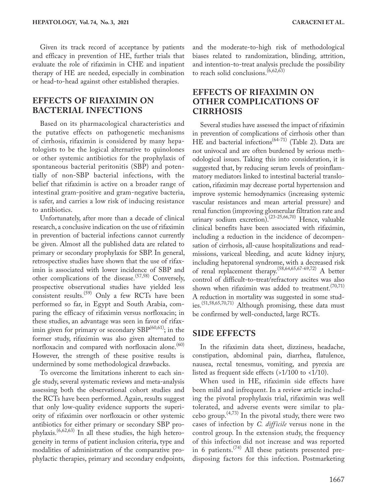Given its track record of acceptance by patients and efficacy in prevention of HE, further trials that evaluate the role of rifaximin in CHE and inpatient therapy of HE are needed, especially in combination or head-to-head against other established therapies.

#### **EFFECTS OF RIFAXIMIN ON BACTERIAL INFECTIONS**

Based on its pharmacological characteristics and the putative effects on pathogenetic mechanisms of cirrhosis, rifaximin is considered by many hepatologists to be the logical alternative to quinolones or other systemic antibiotics for the prophylaxis of spontaneous bacterial peritonitis (SBP) and potentially of non-SBP bacterial infections, with the belief that rifaximin is active on a broader range of intestinal gram-positive and gram-negative bacteria, is safer, and carries a low risk of inducing resistance to antibiotics.

Unfortunately, after more than a decade of clinical research, a conclusive indication on the use of rifaximin in prevention of bacterial infections cannot currently be given. Almost all the published data are related to primary or secondary prophylaxis for SBP. In general, retrospective studies have shown that the use of rifaximin is associated with lower incidence of SBP and other complications of the disease.<sup>(57,58)</sup> Conversely, prospective observational studies have yielded less consistent results.<sup>(59)</sup> Only a few RCTs have been performed so far, in Egypt and South Arabia, comparing the efficacy of rifaximin versus norfloxacin; in these studies, an advantage was seen in favor of rifaximin given for primary or secondary  $\text{SBP}^{(60,61)}$ ; in the former study, rifaximin was also given alternated to norfloxacin and compared with norfloxacin alone.<sup>(60)</sup> However, the strength of these positive results is undermined by some methodological drawbacks.

To overcome the limitations inherent to each single study, several systematic reviews and meta-analysis assessing both the observational cohort studies and the RCTs have been performed. Again, results suggest that only low-quality evidence supports the superiority of rifaximin over norfloxacin or other systemic antibiotics for either primary or secondary SBP prophylaxis.(6,62,63) In all these studies, the high heterogeneity in terms of patient inclusion criteria, type and modalities of administration of the comparative prophylactic therapies, primary and secondary endpoints, and the moderate-to-high risk of methodological biases related to randomization, blinding, attrition, and intention-to-treat analysis preclude the possibility to reach solid conclusions.(6,62,63)

### **EFFECTS OF RIFAXIMIN ON OTHER COMPLICATIONS OF CIRRHOSIS**

Several studies have assessed the impact of rifaximin in prevention of complications of cirrhosis other than HE and bacterial infections<sup> $(64-71)$ </sup> (Table 2). Data are not univocal and are often burdened by serious methodological issues. Taking this into consideration, it is suggested that, by reducing serum levels of proinflammatory mediators linked to intestinal bacterial translocation, rifaximin may decrease portal hypertension and improve systemic hemodynamics (increasing systemic vascular resistances and mean arterial pressure) and renal function (improving glomerular filtration rate and urinary sodium excretion).<sup>(23-25,66,70)</sup> Hence, valuable clinical benefits have been associated with rifaximin, including a reduction in the incidence of decompensation of cirrhosis, all-cause hospitalizations and readmissions, variceal bleeding, and acute kidney injury, including hepatorenal syndrome, with a decreased risk of renal replacement therapy.(58,64,65,67-69,72) A better control of difficult-to-treat/refractory ascites was also shown when rifaximin was added to treatment.<sup> $(70,71)$ </sup> A reduction in mortality was suggested in some studies.(51,58,65,70,71) Although promising, these data must be confirmed by well-conducted, large RCTs.

#### **SIDE EFFECTS**

In the rifaximin data sheet, dizziness, headache, constipation, abdominal pain, diarrhea, flatulence, nausea, rectal tenesmus, vomiting, and pyrexia are listed as frequent side effects  $($ >1/100 to <1/10).

When used in HE, rifaximin side effects have been mild and infrequent. In a review article including the pivotal prophylaxis trial, rifaximin was well tolerated, and adverse events were similar to placebo group. $(4,73)$  In the pivotal study, there were two cases of infection by *C. difficile* versus none in the control group. In the extension study, the frequency of this infection did not increase and was reported in 6 patients.(74) All these patients presented predisposing factors for this infection. Postmarketing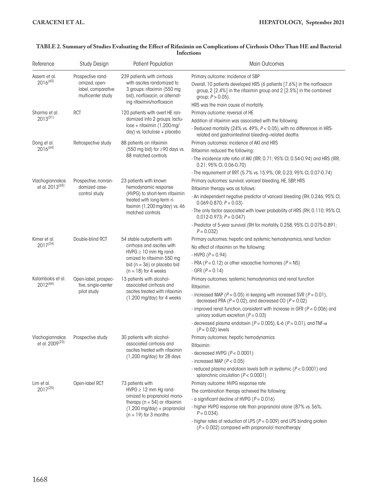| Reference                      | Study Design                                             | <b>Patient Population</b>                                                                                                                                                               | <b>Main Outcomes</b>                                                                                                                                                    |
|--------------------------------|----------------------------------------------------------|-----------------------------------------------------------------------------------------------------------------------------------------------------------------------------------------|-------------------------------------------------------------------------------------------------------------------------------------------------------------------------|
| Assem et al.<br>$2016^{(60)}$  | Prospective rand-                                        | 239 patients with cirrhosis<br>with ascites randomized to<br>3 groups: rifaximin (550 mg)<br>bid), norfloxacin, or alternat-<br>ing rifaximin/norfloxacin                               | Primary outcome: incidence of SBP                                                                                                                                       |
|                                | omized, open-<br>label, comparative<br>multicenter study |                                                                                                                                                                                         | Overall, 10 patients developed HRS (6 patients [7.6%] in the norfloxacin<br>group, 2 [2.4%] in the rifaximin group and 2 [2.5%] in the combined<br>group; $P > 0.05$ ). |
|                                |                                                          |                                                                                                                                                                                         | HRS was the main cause of mortality.                                                                                                                                    |
| Sharma et al.<br>$2013^{(51)}$ | <b>RCT</b>                                               | 120 patients with overt HE ran-<br>domized into 2 groups: lactu-<br>$lose + rifaximin (1,200 mg/$<br>day) vs. lactulose + placebo                                                       | Primary outcome: reversal of HE                                                                                                                                         |
|                                |                                                          |                                                                                                                                                                                         | Addition of rifaximin was associated with the following:                                                                                                                |
|                                |                                                          |                                                                                                                                                                                         | - Reduced mortality (24% vs. 49%, P < 0.05), with no differences in HRS-<br>related and gastrointestinal bleeding-related deaths                                        |
| Dong et al.<br>$2016^{(64)}$   | Retrospective study                                      | 88 patients on rifaximin<br>(550 mg bid) for ≥90 days vs.<br>88 matched controls                                                                                                        | Primary outcomes: incidence of AKI and HRS                                                                                                                              |
|                                |                                                          |                                                                                                                                                                                         | Rifaximin reduced the following:                                                                                                                                        |
|                                |                                                          |                                                                                                                                                                                         | - The incidence rate ratio of AKI (IRR, 0.71; 95% CI, 0.54-0.94) and HRS (IRR,<br>$0.21; 95\%$ CI, 0.06-0.70)                                                           |
|                                |                                                          |                                                                                                                                                                                         | - The requirement of RRT (5.7% vs. 15.9%; OR, 0.23; 95% CI, 0.07-0.74)                                                                                                  |
| Vlachogiannakos                | Prospective, nonran-                                     | 23 patients with known<br>hemodynamic response<br>(HVPG) to short-term rifaximin<br>treated with long-term ri-<br>faximin (1,200 mg/day) vs. 46<br>matched controls                     | Primary outcomes: survival, variceal bleeding, HE, SBP, HRS                                                                                                             |
| et al. 2013 <sup>(65)</sup>    | domized case-                                            |                                                                                                                                                                                         | Rifaximin therapy was as follows:                                                                                                                                       |
|                                | control study                                            |                                                                                                                                                                                         | - An independent negative predictor of variceal bleeding (RH, 0.246; 95% CI,<br>$0.069 - 0.870$ ; $P = 0.03$ )                                                          |
|                                |                                                          |                                                                                                                                                                                         | - The only factor associated with lower probability of HRS (RH, 0.110; 95% CI,<br>$0.012 - 0.973$ ; $P = 0.047$ )                                                       |
|                                |                                                          |                                                                                                                                                                                         | - Predictor of 5-year survival (RH for mortality, 0.258; 95% CI, 0.075-0.891;<br>$P = 0.032$                                                                            |
| Kimer et al.                   | Double-blind RCT                                         | 54 stable outpatients with<br>cirrhosis and ascites with<br>$HVPG \geq 10$ mm Hg rand-<br>omized to rifaximin 550 mg<br>bid $(n = 36)$ or placebo bid<br>$(n = 18)$ for 4 weeks         | Primary outcomes: hepatic and systemic hemodynamics, renal function                                                                                                     |
| $2017^{(24)}$                  |                                                          |                                                                                                                                                                                         | No effect of rifaximin on the following:                                                                                                                                |
|                                |                                                          |                                                                                                                                                                                         | - HVPG $(P = 0.94)$                                                                                                                                                     |
|                                |                                                          |                                                                                                                                                                                         | - PRA ( $P = 0.12$ ) or other vasoactive hormones ( $P = NS$ )                                                                                                          |
|                                |                                                          |                                                                                                                                                                                         | - GFR $(P = 0.14)$                                                                                                                                                      |
| Kalambokis et al.              | Open-label, prospec-                                     | 13 patients with alcohol-<br>associated cirrhosis and<br>ascites treated with rifaximin<br>$(1,200 \text{ mg/day})$ for 4 weeks                                                         | Primary outcomes: systemic hemodynamics and renal function                                                                                                              |
| $2012^{(66)}$                  | tive, single-center<br>pilot study                       |                                                                                                                                                                                         | Rifaximin:                                                                                                                                                              |
|                                |                                                          |                                                                                                                                                                                         | - increased MAP ( $P = 0.05$ ) in keeping with increased SVR ( $P = 0.01$ ),<br>decreased PRA ( $P = 0.02$ ), and decreased CO ( $P = 0.02$ )                           |
|                                |                                                          |                                                                                                                                                                                         | - improved renal function, consistent with increase in GFR ( $P = 0.006$ ) and<br>urinary sodium excretion ( $P = 0.03$ )                                               |
|                                |                                                          |                                                                                                                                                                                         | - decreased plasma endotoxin ( $P = 0.005$ ), IL-6 ( $P = 0.01$ ), and TNF- $\alpha$<br>$(P = 0.02)$ levels                                                             |
| Vlachogiannakos                | Prospective study                                        | 30 patients with alcohol-<br>associated cirrhosis and<br>ascites treated with rifaximin<br>$(1,200 \text{ mg/day})$ for 28 days                                                         | Primary outcomes: hepatic hemodynamics                                                                                                                                  |
| et al. 2009 <sup>(23)</sup>    |                                                          |                                                                                                                                                                                         | Rifaximin:                                                                                                                                                              |
|                                |                                                          |                                                                                                                                                                                         | - decreased HVPG $(P < 0.0001)$                                                                                                                                         |
|                                |                                                          |                                                                                                                                                                                         | - increased MAP $(P < 0.05)$                                                                                                                                            |
|                                |                                                          |                                                                                                                                                                                         | - reduced plasma endotoxin levels both in systemic $(P < 0.0001)$ and<br>splanchnic circulation $(P < 0.0001)$                                                          |
| Lim et al.                     | Open-label RCT                                           | 73 patients with<br>$HVPG \geq 12$ mm Hg rand-<br>omized to propranolol mono-<br>therapy ( $n = 54$ ) or rifaximin<br>$(1,200 \text{ mg/day}) +$ propranolol<br>$(n = 19)$ for 3 months | Primary outcome: HVPG response rate                                                                                                                                     |
| $2017^{(25)}$                  |                                                          |                                                                                                                                                                                         | The combination therapy achieved the following:                                                                                                                         |
|                                |                                                          |                                                                                                                                                                                         | - a significant decline of HVPG $(P = 0.016)$                                                                                                                           |
|                                |                                                          |                                                                                                                                                                                         | - higher HVPG response rate than propranolol alone (87% vs. 56%;<br>$P = 0.034$ ).                                                                                      |
|                                |                                                          |                                                                                                                                                                                         | - higher rates of reduction of LPS ( $P = 0.009$ ) and LPS binding protein<br>$(P = 0.002)$ compared with propranolol monotherapy                                       |

#### **TABLE 2. Summary of Studies Evaluating the Effect of Rifaximin on Complications of Cirrhosis Other Than HE and Bacterial Infections**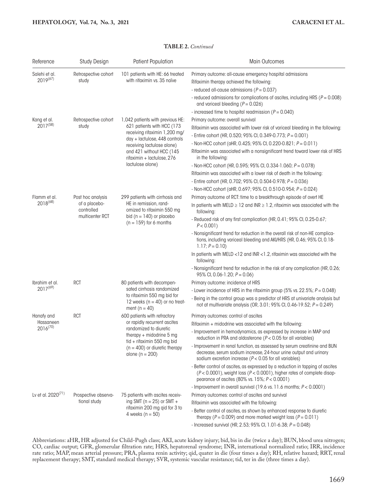#### **TABLE 2.** *Continued*

| Reference                                | <b>Study Design</b>         | <b>Patient Population</b>                                                                                                                                                                                                                    | <b>Main Outcomes</b>                                                                                                                                                                                                |
|------------------------------------------|-----------------------------|----------------------------------------------------------------------------------------------------------------------------------------------------------------------------------------------------------------------------------------------|---------------------------------------------------------------------------------------------------------------------------------------------------------------------------------------------------------------------|
| Salehi et al.<br>$2019^{(67)}$           | Retrospective cohort        | 101 patients with HE: 66 treated<br>with rifaximin vs. 35 naïve                                                                                                                                                                              | Primary outcome: all-cause emergency hospital admissions                                                                                                                                                            |
|                                          | study                       |                                                                                                                                                                                                                                              | Rifaximin therapy achieved the following:                                                                                                                                                                           |
|                                          |                             |                                                                                                                                                                                                                                              | - reduced all-cause admissions ( $P = 0.037$ )                                                                                                                                                                      |
|                                          |                             |                                                                                                                                                                                                                                              | - reduced admissions for complications of ascites, including HRS ( $P = 0.008$ )<br>and variceal bleeding $(P = 0.026)$                                                                                             |
|                                          |                             |                                                                                                                                                                                                                                              | - increased time to hospital readmission ( $P = 0.040$ )                                                                                                                                                            |
| Kang et al.                              | Retrospective cohort        | 1,042 patients with previous HE:<br>621 patients with HCC (173<br>receiving rifaximin 1,200 mg/<br>day + lactulose, 448 controls<br>receiving lactulose alone)<br>and 421 without HCC (145<br>rifaximin + lactulose, 276<br>lactulose alone) | Primary outcome: overall survival                                                                                                                                                                                   |
| $2017^{(58)}$                            | study                       |                                                                                                                                                                                                                                              | Rifaximin was associated with lower risk of variceal bleeding in the following:<br>- Entire cohort (HR, 0.520; 95% CI, 0.349-0.773; P = 0.001)                                                                      |
|                                          |                             |                                                                                                                                                                                                                                              | - Non-HCC cohort (aHR, 0.425; 95% CI, 0.220-0.821; $P = 0.011$ )                                                                                                                                                    |
|                                          |                             |                                                                                                                                                                                                                                              | Rifaximin was associated with a nonsignificant trend toward lower risk of HRS<br>in the following:                                                                                                                  |
|                                          |                             |                                                                                                                                                                                                                                              | - Non-HCC cohort (HR, 0.595; 95% CI, 0.334-1.060; $P = 0.078$ )                                                                                                                                                     |
|                                          |                             |                                                                                                                                                                                                                                              | Rifaximin was associated with a lower risk of death in the following:                                                                                                                                               |
|                                          |                             |                                                                                                                                                                                                                                              | - Entire cohort (HR, 0.702; 95% CI, 0.504-0.978; $P = 0.036$ )                                                                                                                                                      |
|                                          |                             |                                                                                                                                                                                                                                              | - Non-HCC cohort (aHR, 0.697; 95% CI, 0.510-0.954; $P = 0.024$ )                                                                                                                                                    |
| Flamm et al.                             | Post hoc analysis           | 299 patients with cirrhosis and                                                                                                                                                                                                              | Primary outcome of RCT: time to a breakthrough episode of overt HE                                                                                                                                                  |
| $2018^{(68)}$                            | of a placebo-<br>controlled | HE in remission, rand-<br>omized to rifaximin 550 mg<br>bid ( $n = 140$ ) or placebo<br>$(n = 159)$ for 6 months                                                                                                                             | In patients with MELD $\geq$ 12 and INR $\geq$ 1.2, rifaximin was associated with the<br>following:                                                                                                                 |
|                                          | multicenter RCT             |                                                                                                                                                                                                                                              | - Reduced risk of any first complication (HR, 0.41; 95% CI, 0.25-0.67;<br>$P < 0.001$ )                                                                                                                             |
|                                          |                             |                                                                                                                                                                                                                                              | - Nonsignificant trend for reduction in the overall risk of non-HE complica-<br>tions, including variceal bleeding and AKI/HRS (HR, 0.46; 95% CI, 0.18-<br>$1.17; P = 0.10$                                         |
|                                          |                             |                                                                                                                                                                                                                                              | In patients with MELD <12 and INR <1.2, rifaximin was associated with the<br>following:                                                                                                                             |
|                                          |                             |                                                                                                                                                                                                                                              | - Nonsignificant trend for reduction in the risk of any complication (HR, 0.26;<br>95% CI, 0.06-1.20; $P = 0.06$ )                                                                                                  |
| Ibrahim et al.                           | <b>RCT</b>                  | 80 patients with decompen-                                                                                                                                                                                                                   | Primary outcome: incidence of HRS                                                                                                                                                                                   |
| $2017^{(69)}$                            |                             | sated cirrhosis randomized<br>to rifaximin 550 mg bid for<br>12 weeks ( $n = 40$ ) or no treat-<br>ment ( $n = 40$ )                                                                                                                         | - Lower incidence of HRS in the rifaximin group (5% vs. 22.5%; $P = 0.048$ )                                                                                                                                        |
|                                          |                             |                                                                                                                                                                                                                                              | - Being in the control group was a predictor of HRS at univariate analysis but<br>not at multivariate analysis (OR, 3.01; 95% CI, 0.46-19.52; P = 0.249)                                                            |
| Hanafy and<br>Hassaneen<br>$2016^{(70)}$ | <b>RCT</b>                  | 600 patients with refractory<br>or rapidly recurrent ascites<br>randomized to diuretic<br>therapy $+$ midodrine 5 mg<br>tid + rifaximin 550 mg bid<br>$(n = 400)$ or diuretic therapy<br>alone ( $n = 200$ )                                 | Primary outcomes: control of ascites                                                                                                                                                                                |
|                                          |                             |                                                                                                                                                                                                                                              | Rifaximin + midodrine was associated with the following:                                                                                                                                                            |
|                                          |                             |                                                                                                                                                                                                                                              | - Improvement in hemodynamics, as expressed by increase in MAP and<br>reduction in PRA and aldosterone ( $P < 0.05$ for all variables)                                                                              |
|                                          |                             |                                                                                                                                                                                                                                              | - Improvement in renal function, as assessed by serum creatinine and BUN<br>decrease, serum sodium increase, 24-hour urine output and urinary<br>sodium excretion increase ( $P < 0.05$ for all variables)          |
|                                          |                             |                                                                                                                                                                                                                                              | - Better control of ascites, as expressed by a reduction in tapping of ascites<br>$(P < 0.0001)$ , weight loss $(P < 0.0001)$ , higher rates of complete disap-<br>pearance of ascites (80% vs. 15%; $P < 0.0001$ ) |
|                                          |                             |                                                                                                                                                                                                                                              | - Improvement in overall survival (19.6 vs. 11.6 months; P < 0.0001)                                                                                                                                                |
| Ly et al. $2020^{(71)}$                  | Prospective observa-        | 75 patients with ascites receiv-                                                                                                                                                                                                             | Primary outcomes: control of ascites and survival                                                                                                                                                                   |
|                                          | tional study                | ing SMT ( $n = 25$ ) or SMT +<br>rifaximin 200 mg qid for 3 to<br>4 weeks $(n = 50)$                                                                                                                                                         | Rifaximin was associated with the following:                                                                                                                                                                        |
|                                          |                             |                                                                                                                                                                                                                                              | - Better control of ascites, as shown by enhanced response to diuretic<br>therapy ( $P = 0.009$ ) and more marked weight loss ( $P = 0.011$ )                                                                       |
|                                          |                             |                                                                                                                                                                                                                                              | - Increased survival (HR, 2.53; 95% Cl, 1.01-6.38; $P = 0.048$ )                                                                                                                                                    |

Abbreviations: aHR, HR adjusted for Child-Pugh class; AKI, acute kidney injury; bid, bis in die (twice a day); BUN, blood urea nitrogen; CO, cardiac output; GFR, glomerular filtration rate; HRS, hepatorenal syndrome; INR, international normalized ratio; IRR, incidence rate ratio; MAP, mean arterial pressure; PRA, plasma renin activity; qid, quater in die (four times a day); RH, relative hazard; RRT, renal replacement therapy; SMT, standard medical therapy; SVR, systemic vascular resistance; tid, ter in die (three times a day).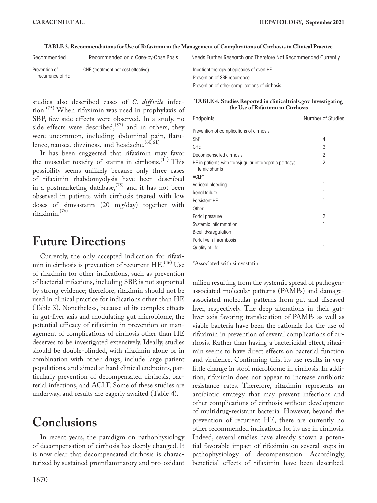**TABLE 3. Recommendations for Use of Rifaximin in the Management of Complications of Cirrhosis in Clinical Practice**

| Recommended      | Recommended on a Case-by-Case Basis | Needs Further Research and Therefore Not Recommended Currently |
|------------------|-------------------------------------|----------------------------------------------------------------|
| Prevention of    | CHE (treatment not cost-effective)  | Inpatient therapy of episodes of overt HE                      |
| recurrence of HE |                                     | Prevention of SBP recurrence                                   |
|                  |                                     | Prevention of other complications of cirrhosis                 |

studies also described cases of *C. difficile* infection.(75) When rifaximin was used in prophylaxis of SBP, few side effects were observed. In a study, no side effects were described,  $(57)$  and in others, they were uncommon, including abdominal pain, flatulence, nausea, dizziness, and headache.<sup>(60,61)</sup>

It has been suggested that rifaximin may favor the muscular toxicity of statins in cirrhosis.<sup>(11)</sup> This possibility seems unlikely because only three cases of rifaximin rhabdomyolysis have been described in a postmarketing database,  $(75)$  and it has not been observed in patients with cirrhosis treated with low doses of simvastatin (20 mg/day) together with rifaximin.(76)

## **Future Directions**

Currently, the only accepted indication for rifaximin in cirrhosis is prevention of recurrent HE.<sup>(46)</sup> Use of rifaximin for other indications, such as prevention of bacterial infections, including SBP, is not supported by strong evidence; therefore, rifaximin should not be used in clinical practice for indications other than HE (Table 3). Nonetheless, because of its complex effects in gut-liver axis and modulating gut microbiome, the potential efficacy of rifaximin in prevention or management of complications of cirrhosis other than HE deserves to be investigated extensively. Ideally, studies should be double-blinded, with rifaximin alone or in combination with other drugs, include large patient populations, and aimed at hard clinical endpoints, particularly prevention of decompensated cirrhosis, bacterial infections, and ACLF. Some of these studies are underway, and results are eagerly awaited (Table 4).

### **Conclusions**

In recent years, the paradigm on pathophysiology of decompensation of cirrhosis has deeply changed. It is now clear that decompensated cirrhosis is characterized by sustained proinflammatory and pro-oxidant

#### **TABLE 4. Studies Reported in clinicaltrials.gov Investigating the Use of Rifaximin in Cirrhosis**

| Endpoints                                                               | Number of Studies |
|-------------------------------------------------------------------------|-------------------|
| Prevention of complications of cirrhosis                                |                   |
| SBP                                                                     | 4                 |
| <b>CHE</b>                                                              | 3                 |
| Decompensated cirrhosis                                                 | 2                 |
| HE in patients with transjugular intrahepatic portosys-<br>temic shunts | 2                 |
| ACLF*                                                                   |                   |
| Variceal bleeding                                                       |                   |
| Renal failure                                                           |                   |
| Persistent HE                                                           |                   |
| Other                                                                   |                   |
| Portal pressure                                                         | 2                 |
| Systemic inflammation                                                   |                   |
| <b>B-cell dysregulation</b>                                             |                   |
| Portal vein thrombosis                                                  |                   |
| Quality of life                                                         |                   |

\*Associated with simvastatin.

milieu resulting from the systemic spread of pathogenassociated molecular patterns (PAMPs) and damageassociated molecular patterns from gut and diseased liver, respectively. The deep alterations in their gutliver axis favoring translocation of PAMPs as well as viable bacteria have been the rationale for the use of rifaximin in prevention of several complications of cirrhosis. Rather than having a bactericidal effect, rifaximin seems to have direct effects on bacterial function and virulence. Confirming this, its use results in very little change in stool microbiome in cirrhosis. In addition, rifaximin does not appear to increase antibiotic resistance rates. Therefore, rifaximin represents an antibiotic strategy that may prevent infections and other complications of cirrhosis without development of multidrug-resistant bacteria. However, beyond the prevention of recurrent HE, there are currently no other recommended indications for its use in cirrhosis. Indeed, several studies have already shown a potential favorable impact of rifaximin on several steps in pathophysiology of decompensation. Accordingly, beneficial effects of rifaximin have been described.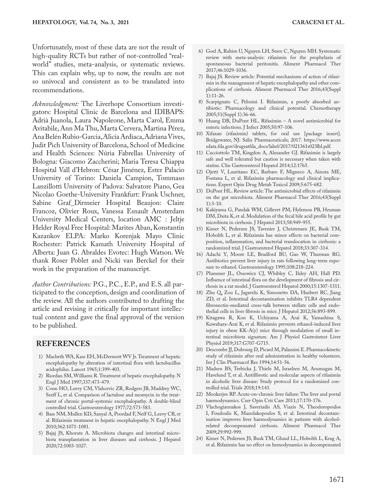Unfortunately, most of these data are not the result of high-quality RCTs but rather of not-controlled "realworld" studies, meta-analysis, or systematic reviews. This can explain why, up to now, the results are not so univocal and consistent as to be translated into recommendations.

*Acknowledgment:* The Liverhope Consortium investigators: Hospital Clinic de Barcelona and IDIBAPS: Adrià Juanola, Laura Napoleone, Marta Carol, Emma Avitabile, Ann Ma Thu, Marta Cervera, Martina Pérez, Ana Belén Rubio-Garcia, Alicia Ardiaca, Adriana Vives, Judit Pich University of Barcelona, School of Medicine and Health Sciences: Núria Fabrellas University of Bologna: Giacomo Zaccherini; Maria Teresa Chiappa Hospital Vall d'Hebron: César Jiménez, Ester Palacio University of Torino: Daniela Campion, Tommaso Lanzillotti University of Padova: Salvatore Piano, Gea Nicolao Goethe-University Frankfurt: Frank Uschner, Sabine Graf\_Dirmeier Hospital Beaujon: Claire Francoz, Olivier Roux, Vanessa Esnault Amsterdam University Medical Centers, location AMC : Jeltje Helder Royal Free Hospital: Marites Aban, Konstantin Kazankov ELPA: Marko Korenjak Mayo Clinic Rochester: Patrick Kamath University Hospital of Alberta: Juan G. Abraldes Evotec: Hugh Watson. We thank Roser Poblet and Nicki van Berckel for their work in the preparation of the manuscript.

*Author Contributions:* P.G., P.C., E.P., and E.S. all participated to the conception, design and coordination of the review. All the authors contributed to drafting the article and revising it critically for important intellectual content and gave the final approval of the version to be published.

#### **REFERENCES**

- 1) Macbeth WA, Kass EH, McDermott WV Jr. Treatment of hepatic encephalopathy by alteration of intestinal flora with lactobacillus acidophilus. Lancet 1965;1:399-403.
- 2) Riordan SM, Williams R. Treatment of hepatic encephalopathy. N Engl J Med 1997;337:473-479.
- 3) Conn HO, Leevy CM, Vlahcevic ZR, Rodgers JB, Maddrey WC, Seeff L, et al. Comparison of lactulose and neomycin in the treatment of chronic portal-systemic encephalopathy. A double-blind controlled trial. Gastroenterology 1977;72:573-583.
- 4) Bass NM, Mullen KD, Sanyal A, Poordad F, Neff G, Leevy CB, et al. Rifaximin treatment in hepatic encephalopathy. N Engl J Med 2010;362:1071-1081.
- 5) Bajaj JS, Khoruts A. Microbiota changes and intestinal microbiota transplantation in liver diseases and cirrhosis. J Hepatol 2020;72:1003-1027.
- 6) Goel A, Rahim U, Nguyen LH, Stave C, Nguyen MH. Systematic review with meta-analysis: rifaximin for the prophylaxis of spontaneous bacterial peritonitis. Aliment Pharmacol Ther 2017;46:1029-1036.
- 7) Bajaj JS. Review article: Potential mechanisms of action of rifaximin in the management of hepatic encephalopathy and other complications of cirrhosis. Aliment Pharmacol Ther 2016;43(Suppl 1):11-26.
- 8) Scarpignato C, Pelosini I. Rifaximin, a poorly absorbed antibiotic: Pharmacology and clinical potential. Chemotherapy 2005;51(Suppl 1):36-66.
- 9) Huang DB, DuPont HL. Rifaximin A novel antimicrobial for enteric infections. J Infect 2005;50:97-106.
- 10) Xifaxan (rifaximin) tablets, for oral use [package insert]. Bridgewater, NJ: Salix Pharmaceuticals; 2017. [https://www.acces](https://www.accessdata.fda.gov/drugsatfda_docs/label/2017/021361s023lbl.pdf) [sdata.fda.gov/drugsatfda\\_docs/label/2017/021361s023lbl.pdf](https://www.accessdata.fda.gov/drugsatfda_docs/label/2017/021361s023lbl.pdf).
- 11) Cacciottolo TM, Kingdon A, Alexander GJ. Rifaximin is largely safe and well tolerated but caution is necessary when taken with statins. Clin Gastroenterol Hepatol 2014;12:1765.
- 12) Ojetti V, Lauritano EC, Barbaro F, Migneco A, Ainora ME, Fontana L, et al. Rifaximin pharmacology and clinical implications. Expert Opin Drug Metab Toxicol 2009;5:675-682.
- 13) DuPont HL. Review article: The antimicrobial effects of rifaximin on the gut microbiota. Aliment Pharmacol Ther 2016;43(Suppl  $1):3-10.$
- 14) Kakiyama G, Pandak WM, Gillevet PM, Hylemon PB, Heuman DM, Daita K, et al. Modulation of the fecal bile acid profile by gut microbiota in cirrhosis. J Hepatol 2013;58:949-955.
- 15) Kimer N, Pedersen JS, Tavenier J, Christensen JE, Busk TM, Hobolth L, et al. Rifaximin has minor effects on bacterial composition, inflammation, and bacterial translocation in cirrhosis: a randomized trial. J Gastroenterol Hepatol 2018;33:307-314.
- 16) Adachi Y, Moore LE, Bradford BU, Gao W, Thurman RG. Antibiotics prevent liver injury in rats following long-term exposure to ethanol. Gastroenterology 1995;108:218-224.
- 17) Plummer JL, Ossowicz CJ, Whibley C, Ilsley AH, Hall PD. Influence of intestinal flora on the development of fibrosis and cirrhosis in a rat model. J Gastroenterol Hepatol 2000;15:1307-1311.
- 18) Zhu Q, Zou L, Jagavelu K, Simonetto DA, Huebert RC, Jiang ZD, et al. Intestinal decontamination inhibits TLR4 dependent fibronectin-mediated cross-talk between stellate cells and endothelial cells in liver fibrosis in mice. J Hepatol 2012;56:893-899.
- 19) Kitagawa R, Kon K, Uchiyama A, Arai K, Yamashina S, Kuwahara-Arai K, et al. Rifaximin prevents ethanol-induced liver injury in obese KK-A(y) mice through modulation of small intestinal microbiota signature. Am J Physiol Gastrointest Liver Physiol 2019;317:G707-G715.
- 20) Descombe JJ, Dubourg D, Picard M, Palazzini E. Pharmacokinetic study of rifaximin after oral administration in healthy volunteers. Int J Clin Pharmacol Res 1994;14:51-56.
- 21) Madsen BS, Trebicka J, Thiele M, Israelsen M, Arumugan M, Havelund T, et al. Antifibrotic and molecular aspects of rifaximin in alcoholic liver disease: Study protocol for a randomized controlled trial. Trials 2018;19:143.
- 22) Mookerjee RP. Acute-on-chronic liver failure: The liver and portal haemodynamics. Curr Opin Crit Care 2011;17:170-176.
- 23) Vlachogiannakos J, Saveriadis AS, Viazis N, Theodoropoulos I, Foudoulis K, Manolakopoulos S, et al. Intestinal decontamination improves liver haemodynamics in patients with alcoholrelated decompensated cirrhosis. Aliment Pharmacol Ther 2009;29:992-999.
- 24) Kimer N, Pedersen JS, Busk TM, Gluud LL, Hobolth L, Krag A, et al. Rifaximin has no effect on hemodynamics in decompensated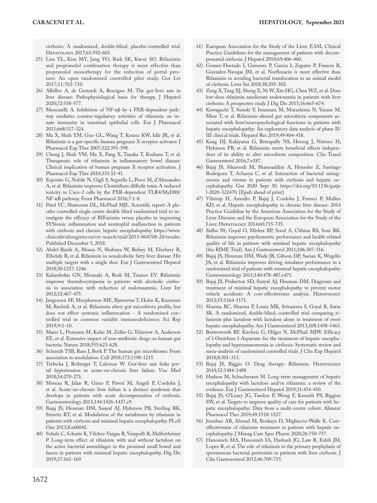cirrhosis: A randomized, double-blind, placebo-controlled trial. Hepatology 2017;65:592-603.

- 25) Lim YL, Kim MY, Jang YO, Baik SK, Kwon SO. Rifaximin and propranolol combination therapy is more effective than propranolol monotherapy for the reduction of portal pressure: An open randomized controlled pilot study. Gut Liv 2017;11:702-710.
- 26) Albillos A, de Gottardi A, Rescigno M. The gut-liver axis in liver disease: Pathophysiological basis for therapy. J Hepatol 2020;72:558-577.
- 27) Mencarelli A. Inhibition of NF-κβ by a PXR-dependent pathway mediates counter-regulatory activities of rifaximin on innate immunity in intestinal epithelial cells. Eur J Pharmacol 2011;668:317-324.
- 28) Ma X, Shah YM, Guo GL, Wang T, Krausz KW, Idle JR, et al. Rifaximin is a gut-specific human pregnane X receptor activator. J Pharmacol Exp Ther 2007;322:391-398.
- 29) Cheng J, Shah YM, Ma X, Pang X, Tanaka T, Kodama T, et al. Therapeutic role of rifaximin in inflammatory bowel disease: Clinical implication of human pregnane X receptor activation. J Pharmacol Exp Ther 2010;335:32-41.
- 30) Esposito G, Nobile N, Gigli S, Seguella L, Pesce M, d'Alessandro A, et al. Rifaximin improves Clostridium difficile toxin A-induced toxicity in Caco-2 cells by the PXR-dependent TLR4/MyD88/ NF-κB pathway. Front Pharmacol 2016;7:1-8.
- 31) Patel VC, Shawcross DL, McPhail MJL. Scientific report: A placebo controlled single centre double blind randomised trial to investigate the efficacy of RIFaximin versus placebo in improving SYStemic inflammation and neutrophil malfunction in patients with cirrhosis and chronic hepatic encephalopathy. [https://www.](https://www.clinicaltrialsregister.eu/ctr-search/trial/2013-004708-20/results) [clinicaltrialsregister.eu/ctr-search/trial/2013-004708-20/results](https://www.clinicaltrialsregister.eu/ctr-search/trial/2013-004708-20/results). Published December 5, 2018.
- 32) Abdel-Razik A, Mousa N, Shabana W, Refaey M, Elzehery R, Elhelaly R, et al. Rifaximin in nonalcoholic fatty liver disease: Hit multiple targets with a single shot. Eur J Gastroenterol Hepatol 2018;30:1237-1246.
- 33) Kalambokis GN, Mouzaki A, Rodi M, Tsianos EV. Rifaximin improves thrombocytopenia in patients with alcoholic cirrhosis in association with reduction of endotoxaemia. Liver Int 2012;32:467-475.
- 34) Jørgensen SF, Macpherson ME, Bjørnetrø T, Holm K, Kummen M, Rashidi A, et al. Rifaximin alters gut microbiota profile, but does not affect systemic inflammation - A randomized controlled trial in common variable immunodeficiency. Sci Rep 2019;9:1-10.
- 35) Maier L, Pruteanu M, Kuhn M, Zeller G, Telzerow A, Anderson EE, et al. Extensive impact of non-antibiotic drugs on human gut bacteria. Nature 2018;555:623-628.
- 36) Schmidt TSB, Raes J, Bork P. The human gut microbiome: From association to modulation. Cell 2018;172:1198-1215.
- 37) Trebicka J, Reiberger T, Laleman W. Gut-liver axis links portal hypertension to acute-on-chronic liver failure. Visc Med 2018;34:270-275.
- 38) Moreau R, Jalan R, Gines P, Pavesi M, Angeli P, Cordoba J, et al. Acute-on-chronic liver failure is a distinct syndrome that develops in patients with acute decompensation of cirrhosis. Gastroenterology 2013;144:1426-1437.e9.
- 39) Bajaj JS, Heuman DM, Sanyal AJ, Hylemon PB, Sterling RK, Stravitz RT, et al. Modulation of the metabiome by rifaximin in patients with cirrhosis and minimal hepatic encephalopathy. PLoS One 2013;8:e60042.
- 40) Schulz C, Schutte K, Vilchez-Vargas R, Vasapolli R, Malfertheiner P. Long-term effect of rifaximin with and without lactulose on the active bacterial assemblages in the proximal small bowel and faeces in patients with minimal hepatic encephalopathy. Dig Dis 2019;37:161-169.
- 41) European Association for the Study of the Liver. EASL Clinical Practice Guidelines for the management of patients with decompensated cirrhosis. J Hepatol 2018;69:406-460.
- 42) Gomez-Hurtado I, Gimenez P, Garcia I, Zapater P, Frances R, Gonzalez-Navajas JM, et al. Norfloxacin is more effective than Rifaximin in avoiding bacterial translocation in an animal model of cirrhosis. Liver Int 2018;38:295-302.
- 43) Zeng X, Tang XJ, Sheng X, Ni W, Xin HG, Chen WZ, et al. Does low-dose rifaximin ameliorate endotoxemia in patients with liver cirrhosis: A prospective study. J Dig Dis 2015;16:665-674.
- 44) Kawaguchi T, Suzuki F, Imamura M, Murashima N, Yanase M, Mine T, et al. Rifaximin-altered gut microbiota components associated with liver/neuropsychological functions in patients with hepatic encephalopathy: An exploratory data analysis of phase II/ III clinical trials. Hepatol Res 2019;49:404-418.
- 45) Kang DJ, Kakiyama G, Betrapally NS, Herzog J, Nittono H, Hylemon PB, et al. Rifaximin exerts beneficial effects independent of its ability to alter microbiota composition. Clin Transl Gastroenterol 2016;7:e187.
- 46) Bajaj JS, Sikaroodi M, Shamsaddini A, Henseler Z, Santiago Rodríguez T, Acharya C, et al. Interaction of bacterial metagenome and virome in patients with cirrhosis and hepatic encephalopathy. Gut 2020 Sept 30. [https://doi.org/10.1136/gutjn](https://doi.org/10.1136/gutjnl-2020-322470) [l-2020-322470](https://doi.org/10.1136/gutjnl-2020-322470). [Epub ahead of print]
- 47) Vilstrup H, Amodio P, Bajaj J, Cordoba J, Ferenci P, Mullen KD, et al. Hepatic encephalopathy in chronic liver disease: 2014 Practice Guideline by the American Association for the Study of Liver Diseases and the European Association for the Study of the Liver. HEPATOLOGY 2014;60:715-735.
- 48) Sidhu SS, Goyal O, Mishra BP, Sood A, Chhina RS, Soni RK. Rifaximin improves psychometric performance and health-related quality of life in patients with minimal hepatic encephalopathy (the RIME Trial). Am J Gastroenterol 2011;106:307-316.
- 49) Bajaj JS, Heuman DM, Wade JB, Gibson DP, Saeian K, Wegelin JA, et al. Rifaximin improves driving simulator performance in a randomized trial of patients with minimal hepatic encephalopathy. Gastroenterology 2011;140:478-487.e471.
- 50) Bajaj JS, Pinkerton SD, Sanyal AJ, Heuman DM. Diagnosis and treatment of minimal hepatic encephalopathy to prevent motor vehicle accidents: A cost-effectiveness analysis. HEPATOLOGY 2012;55:1164-1171.
- 51) Sharma BC, Sharma P, Lunia MK, Srivastava S, Goyal R, Sarin SK. A randomized, double-blind, controlled trial comparing rifaximin plus lactulose with lactulose alone in treatment of overt hepatic encephalopathy. Am J Gastroenterol 2013;108:1458-1463.
- 52) Butterworth RF, Kircheis G, Hilger N, McPhail MJW. Efficacy of l-Ornithine l-Aspartate for the treatment of hepatic encephalopathy and hyperammonemia in cirrhosis: Systematic review and meta-analysis of randomized controlled trials. J Clin Exp Hepatol 2018;8:301-313.
- 53) Bajaj JS, Riggio O. Drug therapy: Rifaximin. HEPATOLOGY 2010;52:1484-1488.
- 54) Hudson M, Schuchmann M. Long-term management of hepatic encephalopathy with lactulose and/or rifaximin: a review of the evidence. Eur J Gastroenterol Hepatol 2019;31:434-450.
- 55) Bajaj JS, O'Leary JG, Tandon P, Wong F, Kamath PS, Biggins SW, et al. Targets to improve quality of care for patients with hepatic encephalopathy: Data from a multi-centre cohort. Aliment Pharmacol Ther 2019;49:1518-1527.
- 56) Jesudian AB, Ahmad M, Bozkaya D, Migliaccio-Walle K. Costeffectiveness of rifaximin treatment in patients with hepatic encephalopathy. J Manag Care Spec Pharm 2020;26:750-757.
- 57) Hanouneh MA, Hanouneh IA, Hashash JG, Law R, Esfeh JM, Lopez R, et al. The role of rifaximin in the primary prophylaxis of spontaneous bacterial peritonitis in patients with liver cirrhosis. J Clin Gastroenterol 2012;46:709-715.